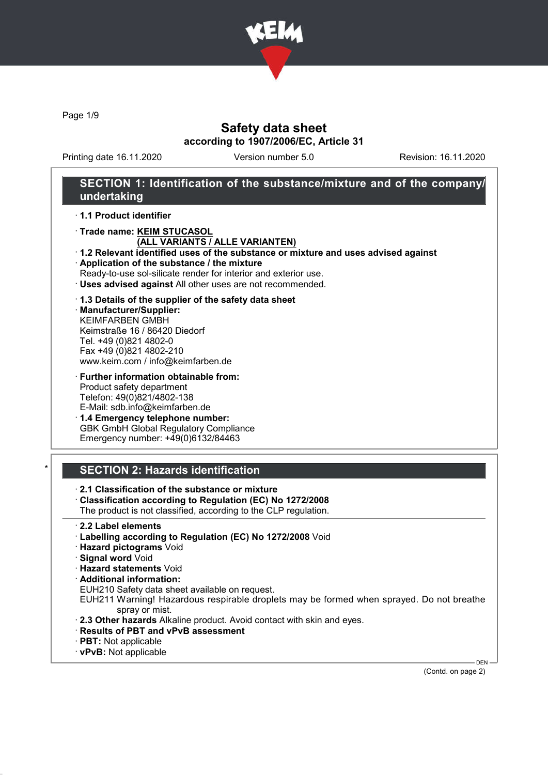

Page 1/9

## Safety data sheet according to 1907/2006/EC, Article 31

Printing date 16.11.2020 Version number 5.0 Revision: 16.11.2020

## SECTION 1: Identification of the substance/mixture and of the company/ undertaking

· 1.1 Product identifier

· Trade name: KEIM STUCASOL

#### (ALL VARIANTS / ALLE VARIANTEN)

· 1.2 Relevant identified uses of the substance or mixture and uses advised against · Application of the substance / the mixture

Ready-to-use sol-silicate render for interior and exterior use.

· Uses advised against All other uses are not recommended.

#### · 1.3 Details of the supplier of the safety data sheet

· Manufacturer/Supplier: KEIMFARBEN GMBH Keimstraße 16 / 86420 Diedorf Tel. +49 (0)821 4802-0 Fax +49 (0)821 4802-210 www.keim.com / info@keimfarben.de

- · Further information obtainable from: Product safety department Telefon: 49(0)821/4802-138 E-Mail: sdb.info@keimfarben.de
- · 1.4 Emergency telephone number: GBK GmbH Global Regulatory Compliance Emergency number: +49(0)6132/84463

## **SECTION 2: Hazards identification**

- · 2.1 Classification of the substance or mixture
- · Classification according to Regulation (EC) No 1272/2008 The product is not classified, according to the CLP regulation.
- · 2.2 Label elements
- · Labelling according to Regulation (EC) No 1272/2008 Void
- · Hazard pictograms Void
- · Signal word Void
- · Hazard statements Void
- · Additional information:
- EUH210 Safety data sheet available on request.
- EUH211 Warning! Hazardous respirable droplets may be formed when sprayed. Do not breathe spray or mist.
- · 2.3 Other hazards Alkaline product. Avoid contact with skin and eyes.
- · Results of PBT and vPvB assessment
- · PBT: Not applicable
- · vPvB: Not applicable

(Contd. on page 2)

DEN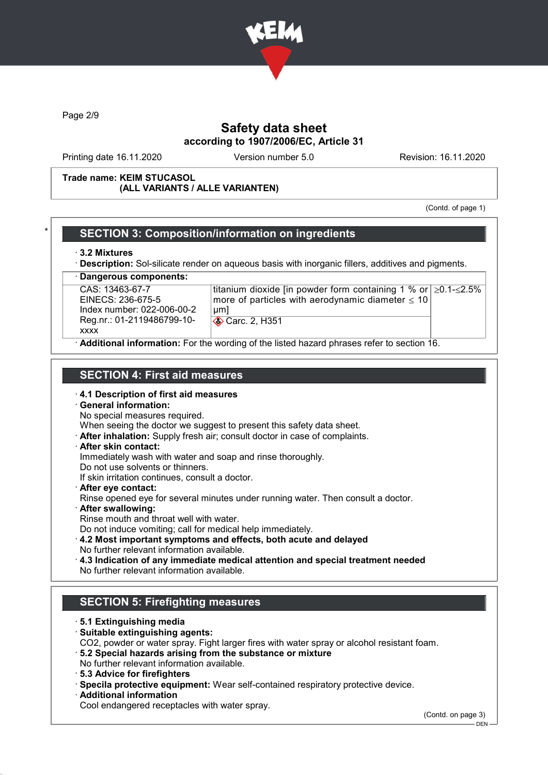

Page 2/9

## Safety data sheet according to 1907/2006/EC, Article 31

Printing date 16.11.2020 Version number 5.0 Revision: 16.11.2020

#### Trade name: KEIM STUCASOL (ALL VARIANTS / ALLE VARIANTEN)

(Contd. of page 1)

### SECTION 3: Composition/information on ingredients

#### · 3.2 Mixtures

**Description:** Sol-silicate render on aqueous basis with inorganic fillers, additives and pigments.

Dangerous components: CAS: 13463-67-7 EINECS: 236-675-5 Index number: 022-006-00-2 Reg.nr.: 01-2119486799-10 xxxx titanium dioxide [in powder form containing 1 % or ≥0.1-≤2.5% more of particles with aerodynamic diameter  $\leq 10$ μm] Carc. 2, H351 Additional information: For the wording of the listed hazard phrases refer to section 16.

### SECTION 4: First aid measures

- · 4.1 Description of first aid measures
- · General information:
- No special measures required.

When seeing the doctor we suggest to present this safety data sheet.

- · After inhalation: Supply fresh air; consult doctor in case of complaints.
- · After skin contact:

Immediately wash with water and soap and rinse thoroughly.

Do not use solvents or thinners.

- If skin irritation continues, consult a doctor.
- · After eye contact:
- Rinse opened eye for several minutes under running water. Then consult a doctor.
- After swallowing:
- Rinse mouth and throat well with water.
- Do not induce vomiting; call for medical help immediately.
- · 4.2 Most important symptoms and effects, both acute and delayed No further relevant information available.
- · 4.3 Indication of any immediate medical attention and special treatment needed No further relevant information available.

## SECTION 5: Firefighting measures

- · 5.1 Extinguishing media
- · Suitable extinguishing agents:
- CO2, powder or water spray. Fight larger fires with water spray or alcohol resistant foam.
- · 5.2 Special hazards arising from the substance or mixture
- No further relevant information available.
- · 5.3 Advice for firefighters
- · Specila protective equipment: Wear self-contained respiratory protective device.
- · Additional information
- Cool endangered receptacles with water spray.

(Contd. on page 3)

DEN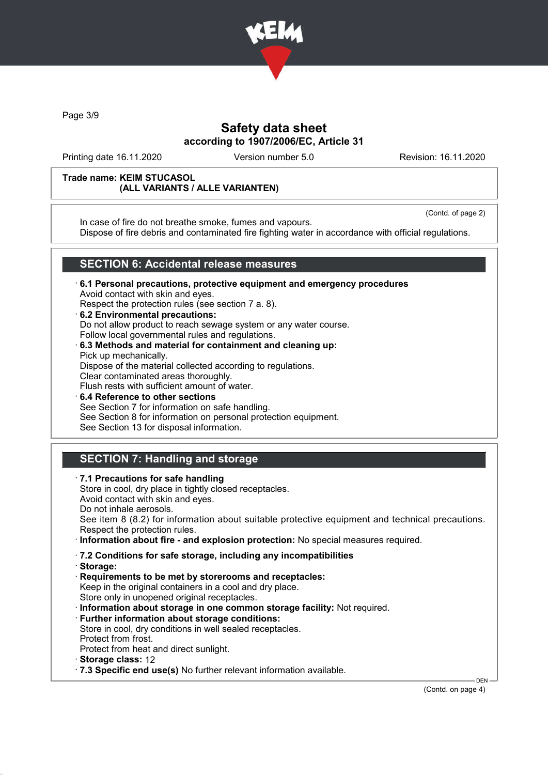

Page 3/9

## Safety data sheet according to 1907/2006/EC, Article 31

Printing date 16.11.2020 Version number 5.0 Revision: 16.11.2020

#### Trade name: KEIM STUCASOL (ALL VARIANTS / ALLE VARIANTEN)

(Contd. of page 2)

In case of fire do not breathe smoke, fumes and vapours. Dispose of fire debris and contaminated fire fighting water in accordance with official regulations.

# SECTION 6: Accidental release measures

- · 6.1 Personal precautions, protective equipment and emergency procedures Avoid contact with skin and eyes. Respect the protection rules (see section 7 a. 8).
- · 6.2 Environmental precautions: Do not allow product to reach sewage system or any water course. Follow local governmental rules and regulations. · 6.3 Methods and material for containment and cleaning up:
- Pick up mechanically. Dispose of the material collected according to regulations. Clear contaminated areas thoroughly. Flush rests with sufficient amount of water.
- 6.4 Reference to other sections See Section 7 for information on safe handling. See Section 8 for information on personal protection equipment. See Section 13 for disposal information.

# SECTION 7: Handling and storage

· 7.1 Precautions for safe handling Store in cool, dry place in tightly closed receptacles. Avoid contact with skin and eyes. Do not inhale aerosols. See item 8 (8.2) for information about suitable protective equipment and technical precautions. Respect the protection rules. · Information about fire - and explosion protection: No special measures required. · 7.2 Conditions for safe storage, including any incompatibilities · Storage: · Requirements to be met by storerooms and receptacles: Keep in the original containers in a cool and dry place. Store only in unopened original receptacles. · Information about storage in one common storage facility: Not required. · Further information about storage conditions: Store in cool, dry conditions in well sealed receptacles. Protect from frost. Protect from heat and direct sunlight. · Storage class: 12 · 7.3 Specific end use(s) No further relevant information available.

(Contd. on page 4)

DEN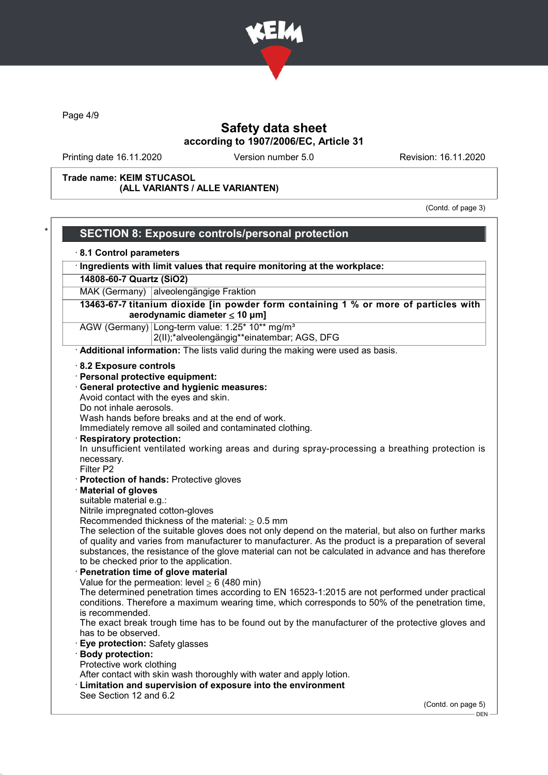

Page 4/9

# Safety data sheet according to 1907/2006/EC, Article 31

Printing date 16.11.2020 Version number 5.0 Revision: 16.11.2020

Trade name: KEIM STUCASOL (ALL VARIANTS / ALLE VARIANTEN)

(Contd. of page 3)

|                                   | 8.1 Control parameters                                                                                                                                                                                                                                                                                                                                        |
|-----------------------------------|---------------------------------------------------------------------------------------------------------------------------------------------------------------------------------------------------------------------------------------------------------------------------------------------------------------------------------------------------------------|
|                                   | · Ingredients with limit values that require monitoring at the workplace:                                                                                                                                                                                                                                                                                     |
| 14808-60-7 Quartz (SiO2)          |                                                                                                                                                                                                                                                                                                                                                               |
|                                   | MAK (Germany) alveolengängige Fraktion                                                                                                                                                                                                                                                                                                                        |
|                                   | 13463-67-7 titanium dioxide [in powder form containing 1 % or more of particles with<br>aerodynamic diameter $\leq 10$ µm]                                                                                                                                                                                                                                    |
|                                   | AGW (Germany) Long-term value: 1.25* 10** mg/m <sup>3</sup><br>2(II);*alveolengängig**einatembar; AGS, DFG                                                                                                                                                                                                                                                    |
|                                   | Additional information: The lists valid during the making were used as basis.                                                                                                                                                                                                                                                                                 |
| 8.2 Exposure controls             |                                                                                                                                                                                                                                                                                                                                                               |
| · Personal protective equipment:  |                                                                                                                                                                                                                                                                                                                                                               |
|                                   | · General protective and hygienic measures:                                                                                                                                                                                                                                                                                                                   |
|                                   | Avoid contact with the eyes and skin.                                                                                                                                                                                                                                                                                                                         |
| Do not inhale aerosols.           |                                                                                                                                                                                                                                                                                                                                                               |
|                                   | Wash hands before breaks and at the end of work.                                                                                                                                                                                                                                                                                                              |
|                                   | Immediately remove all soiled and contaminated clothing.                                                                                                                                                                                                                                                                                                      |
| <b>Respiratory protection:</b>    |                                                                                                                                                                                                                                                                                                                                                               |
|                                   | In unsufficient ventilated working areas and during spray-processing a breathing protection is                                                                                                                                                                                                                                                                |
| necessary.<br>Filter P2           |                                                                                                                                                                                                                                                                                                                                                               |
|                                   | · Protection of hands: Protective gloves                                                                                                                                                                                                                                                                                                                      |
| Material of gloves                |                                                                                                                                                                                                                                                                                                                                                               |
| suitable material e.g.:           |                                                                                                                                                                                                                                                                                                                                                               |
| Nitrile impregnated cotton-gloves |                                                                                                                                                                                                                                                                                                                                                               |
|                                   | Recommended thickness of the material: $\geq 0.5$ mm                                                                                                                                                                                                                                                                                                          |
|                                   | The selection of the suitable gloves does not only depend on the material, but also on further marks<br>of quality and varies from manufacturer to manufacturer. As the product is a preparation of several<br>substances, the resistance of the glove material can not be calculated in advance and has therefore<br>to be checked prior to the application. |
|                                   | Penetration time of glove material                                                                                                                                                                                                                                                                                                                            |
|                                   | Value for the permeation: level $\geq 6$ (480 min)                                                                                                                                                                                                                                                                                                            |
| is recommended.                   | The determined penetration times according to EN 16523-1:2015 are not performed under practical<br>conditions. Therefore a maximum wearing time, which corresponds to 50% of the penetration time,                                                                                                                                                            |
| has to be observed.               | The exact break trough time has to be found out by the manufacturer of the protective gloves and                                                                                                                                                                                                                                                              |
| Eye protection: Safety glasses    |                                                                                                                                                                                                                                                                                                                                                               |
| <b>Body protection:</b>           |                                                                                                                                                                                                                                                                                                                                                               |
| Protective work clothing          |                                                                                                                                                                                                                                                                                                                                                               |
|                                   | After contact with skin wash thoroughly with water and apply lotion.<br>· Limitation and supervision of exposure into the environment                                                                                                                                                                                                                         |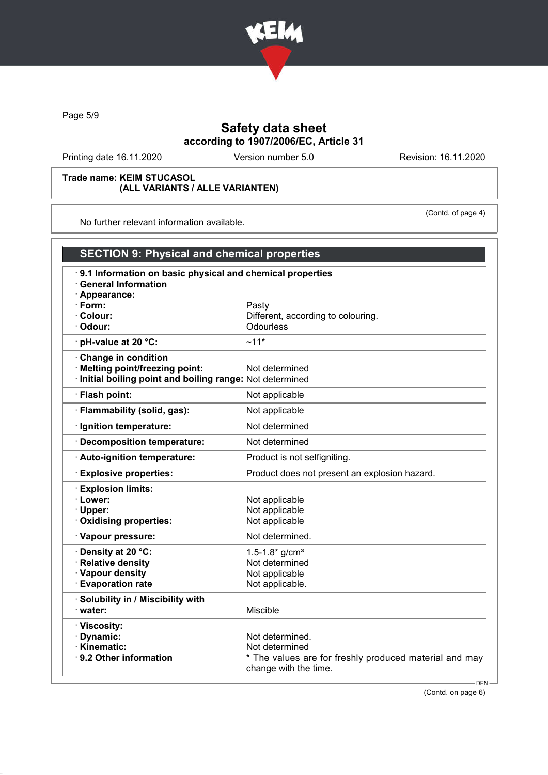

Page 5/9

# Safety data sheet according to 1907/2006/EC, Article 31

Printing date 16.11.2020 Version number 5.0 Revision: 16.11.2020

(Contd. of page 4)

#### Trade name: KEIM STUCASOL (ALL VARIANTS / ALLE VARIANTEN)

No further relevant information available.

| <b>SECTION 9: Physical and chemical properties</b>                                                       |                                                                                 |  |  |
|----------------------------------------------------------------------------------------------------------|---------------------------------------------------------------------------------|--|--|
| 9.1 Information on basic physical and chemical properties<br><b>General Information</b><br>· Appearance: |                                                                                 |  |  |
| $\cdot$ Form:                                                                                            | Pasty                                                                           |  |  |
| · Colour:                                                                                                | Different, according to colouring.                                              |  |  |
| Odour:                                                                                                   | <b>Odourless</b>                                                                |  |  |
| · pH-value at 20 °C:                                                                                     | $~11*$                                                                          |  |  |
| Change in condition                                                                                      |                                                                                 |  |  |
| · Melting point/freezing point:                                                                          | Not determined                                                                  |  |  |
| Initial boiling point and boiling range: Not determined                                                  |                                                                                 |  |  |
| · Flash point:                                                                                           | Not applicable                                                                  |  |  |
| · Flammability (solid, gas):                                                                             | Not applicable                                                                  |  |  |
| · Ignition temperature:                                                                                  | Not determined                                                                  |  |  |
| · Decomposition temperature:                                                                             | Not determined                                                                  |  |  |
| · Auto-ignition temperature:                                                                             | Product is not selfigniting.                                                    |  |  |
| <b>Explosive properties:</b>                                                                             | Product does not present an explosion hazard.                                   |  |  |
| <b>Explosion limits:</b>                                                                                 |                                                                                 |  |  |
| · Lower:                                                                                                 | Not applicable                                                                  |  |  |
| · Upper:                                                                                                 | Not applicable                                                                  |  |  |
| · Oxidising properties:                                                                                  | Not applicable                                                                  |  |  |
| · Vapour pressure:                                                                                       | Not determined.                                                                 |  |  |
| · Density at 20 °C:                                                                                      | 1.5-1.8* $g/cm^{3}$                                                             |  |  |
| · Relative density                                                                                       | Not determined                                                                  |  |  |
| · Vapour density                                                                                         | Not applicable                                                                  |  |  |
| <b>Evaporation rate</b>                                                                                  | Not applicable.                                                                 |  |  |
| · Solubility in / Miscibility with                                                                       |                                                                                 |  |  |
| water:                                                                                                   | Miscible                                                                        |  |  |
| · Viscosity:                                                                                             |                                                                                 |  |  |
| · Dynamic:                                                                                               | Not determined.                                                                 |  |  |
| · Kinematic:                                                                                             | Not determined                                                                  |  |  |
| 9.2 Other information                                                                                    | * The values are for freshly produced material and may<br>change with the time. |  |  |
|                                                                                                          | $DFN -$                                                                         |  |  |

(Contd. on page 6)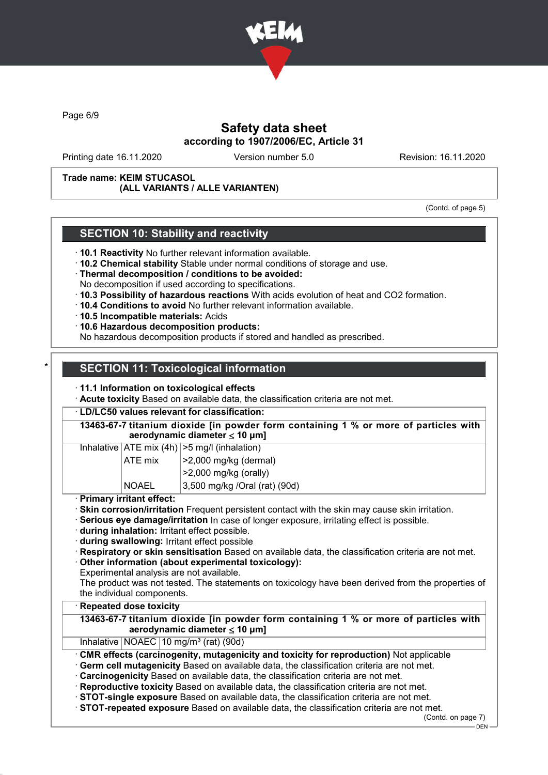

Page 6/9

## Safety data sheet according to 1907/2006/EC, Article 31

Printing date 16.11.2020 Version number 5.0 Revision: 16.11.2020

Trade name: KEIM STUCASOL (ALL VARIANTS / ALLE VARIANTEN)

(Contd. of page 5)

### SECTION 10: Stability and reactivity

- · 10.1 Reactivity No further relevant information available.
- · 10.2 Chemical stability Stable under normal conditions of storage and use.
- · Thermal decomposition / conditions to be avoided:
- No decomposition if used according to specifications.
- · 10.3 Possibility of hazardous reactions With acids evolution of heat and CO2 formation.
- · 10.4 Conditions to avoid No further relevant information available.
- · 10.5 Incompatible materials: Acids
- · 10.6 Hazardous decomposition products:
- No hazardous decomposition products if stored and handled as prescribed.

# **SECTION 11: Toxicological information**

#### · 11.1 Information on toxicological effects

· Acute toxicity Based on available data, the classification criteria are not met.

#### · LD/LC50 values relevant for classification:

| 13463-67-7 titanium dioxide [in powder form containing 1 % or more of particles with<br>aerodynamic diameter $\leq 10 \mu m$ ] |  |                                                                      |  |  |
|--------------------------------------------------------------------------------------------------------------------------------|--|----------------------------------------------------------------------|--|--|
|                                                                                                                                |  | Inhalative $ ATE \text{ mix } (4h)   > 5 \text{ mg/l } (inhalation)$ |  |  |
|                                                                                                                                |  |                                                                      |  |  |

| ATE mix      | $ >2,000$ mg/kg (dermal)       |
|--------------|--------------------------------|
|              | $ >2,000$ mg/kg (orally)       |
| <b>NOAEL</b> | 3,500 mg/kg / Oral (rat) (90d) |

- · Primary irritant effect:
- · Skin corrosion/irritation Frequent persistent contact with the skin may cause skin irritation.
- · Serious eye damage/irritation In case of longer exposure, irritating effect is possible.
- · during inhalation: Irritant effect possible.
- · during swallowing: Irritant effect possible
- · Respiratory or skin sensitisation Based on available data, the classification criteria are not met.

Other information (about experimental toxicology):

- Experimental analysis are not available.
- The product was not tested. The statements on toxicology have been derived from the properties of the individual components.

### **Repeated dose toxicity**

13463-67-7 titanium dioxide [in powder form containing 1 % or more of particles with aerodynamic diameter  $\leq 10$  µm]

### Inhalative  $NOAEC$  10 mg/m<sup>3</sup> (rat) (90d)

CMR effects (carcinogenity, mutagenicity and toxicity for reproduction) Not applicable

- Germ cell mutagenicity Based on available data, the classification criteria are not met.
- · Carcinogenicity Based on available data, the classification criteria are not met.
- · Reproductive toxicity Based on available data, the classification criteria are not met.
- · STOT-single exposure Based on available data, the classification criteria are not met.

· STOT-repeated exposure Based on available data, the classification criteria are not met.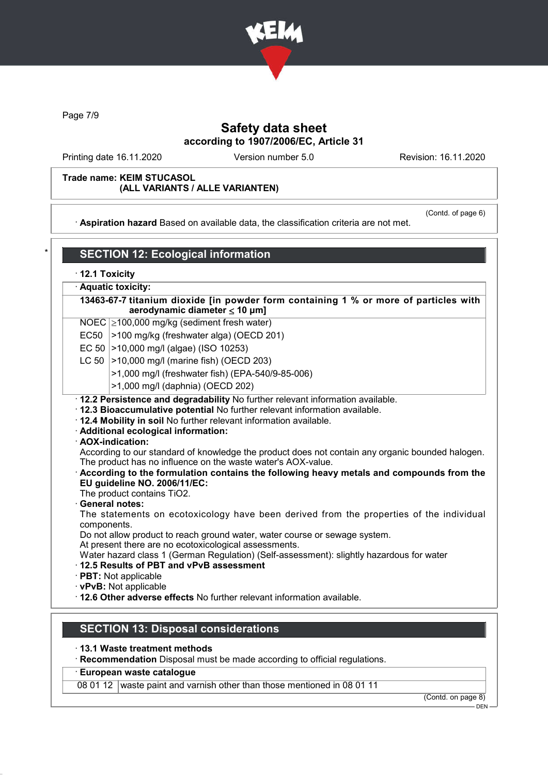

Page 7/9

### Safety data sheet according to 1907/2006/EC, Article 31

Printing date 16.11.2020 Version number 5.0 Revision: 16.11.2020

#### Trade name: KEIM STUCASOL (ALL VARIANTS / ALLE VARIANTEN)

· Aspiration hazard Based on available data, the classification criteria are not met.

(Contd. of page 6)

# **SECTION 12: Ecological information**

|  |  | 12.1 Toxicity |
|--|--|---------------|
|--|--|---------------|

Aquatic toxicity:

13463-67-7 titanium dioxide [in powder form containing 1 % or more of particles with aerodynamic diameter ≤ 10 μm]

- NOEC ≥100,000 mg/kg (sediment fresh water)
- EC50  $|>100$  mg/kg (freshwater alga) (OECD 201)
- EC 50  $|>10,000$  mg/l (algae) (ISO 10253)
- LC 50  $|>10,000$  mg/l (marine fish) (OECD 203)
	- >1,000 mg/l (freshwater fish) (EPA-540/9-85-006)
	- >1,000 mg/l (daphnia) (OECD 202)
- · 12.2 Persistence and degradability No further relevant information available.
- · 12.3 Bioaccumulative potential No further relevant information available.
- · 12.4 Mobility in soil No further relevant information available.
- · Additional ecological information:
- · AOX-indication:

According to our standard of knowledge the product does not contain any organic bounded halogen. The product has no influence on the waste water's AOX-value.

· According to the formulation contains the following heavy metals and compounds from the EU guideline NO. 2006/11/EC:

The product contains TiO2.

#### General notes:

The statements on ecotoxicology have been derived from the properties of the individual components.

Do not allow product to reach ground water, water course or sewage system.

At present there are no ecotoxicological assessments.

Water hazard class 1 (German Regulation) (Self-assessment): slightly hazardous for water

· 12.5 Results of PBT and vPvB assessment

· PBT: Not applicable

· vPvB: Not applicable

· 12.6 Other adverse effects No further relevant information available.

### SECTION 13: Disposal considerations

· 13.1 Waste treatment methods

· Recommendation Disposal must be made according to official regulations.

#### · European waste catalogue

08 01 12 waste paint and varnish other than those mentioned in 08 01 11

(Contd. on page 8)

**DEN**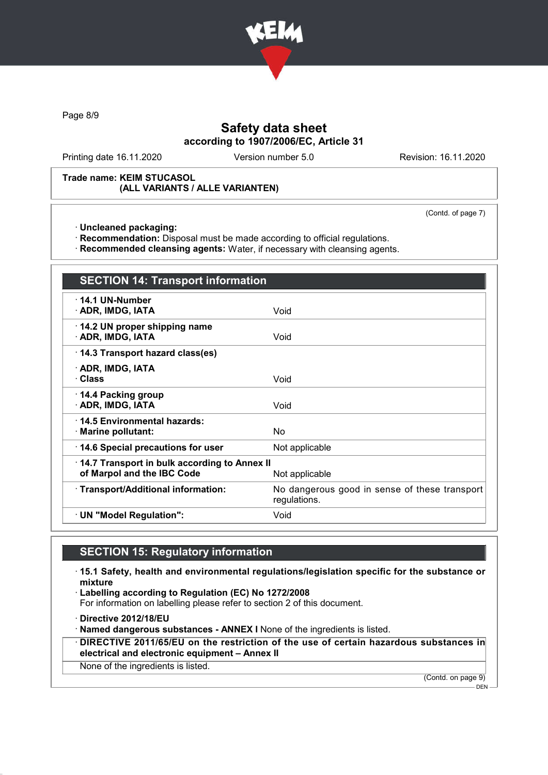

Page 8/9

## Safety data sheet according to 1907/2006/EC, Article 31

Printing date 16.11.2020 Version number 5.0 Revision: 16.11.2020

#### Trade name: KEIM STUCASOL (ALL VARIANTS / ALLE VARIANTEN)

(Contd. of page 7)

· Uncleaned packaging:

· Recommendation: Disposal must be made according to official regulations.

· Recommended cleansing agents: Water, if necessary with cleansing agents.

| <b>SECTION 14: Transport information</b>                                                     |                                                               |  |
|----------------------------------------------------------------------------------------------|---------------------------------------------------------------|--|
| $\cdot$ 14.1 UN-Number<br>· ADR, IMDG, IATA                                                  | Void                                                          |  |
| 14.2 UN proper shipping name<br>· ADR, IMDG, IATA                                            | Void                                                          |  |
| 14.3 Transport hazard class(es)                                                              |                                                               |  |
| · ADR, IMDG, IATA<br>· Class                                                                 | Void                                                          |  |
| 14.4 Packing group<br>· ADR, IMDG, IATA                                                      | Void                                                          |  |
| 14.5 Environmental hazards:<br>· Marine pollutant:                                           | No.                                                           |  |
| 14.6 Special precautions for user                                                            | Not applicable                                                |  |
| 14.7 Transport in bulk according to Annex II<br>of Marpol and the IBC Code<br>Not applicable |                                                               |  |
| · Transport/Additional information:                                                          | No dangerous good in sense of these transport<br>regulations. |  |
| · UN "Model Regulation":                                                                     | Void                                                          |  |

## SECTION 15: Regulatory information

· 15.1 Safety, health and environmental regulations/legislation specific for the substance or mixture

· Labelling according to Regulation (EC) No 1272/2008

For information on labelling please refer to section 2 of this document.

· Directive 2012/18/EU

· Named dangerous substances - ANNEX I None of the ingredients is listed.

· DIRECTIVE 2011/65/EU on the restriction of the use of certain hazardous substances in electrical and electronic equipment – Annex II

None of the ingredients is listed.

(Contd. on page 9)

DEN